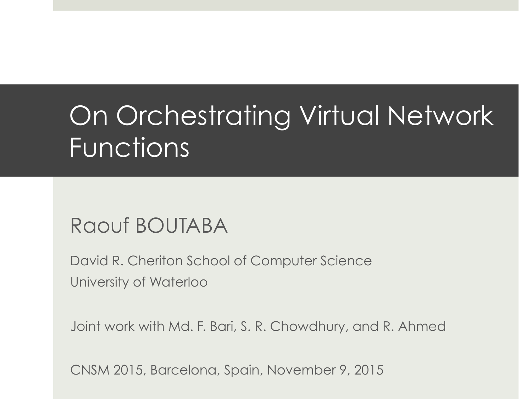## On Orchestrating Virtual Network **Functions**

#### Raouf BOUTABA

David R. Cheriton School of Computer Science University of Waterloo

Joint work with Md. F. Bari, S. R. Chowdhury, and R. Ahmed

CNSM 2015, Barcelona, Spain, November 9, 2015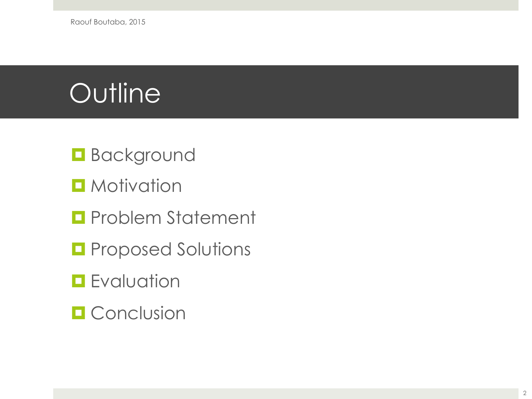- **Background**
- $\blacksquare$  Motivation
- **<u></u>** Problem Statement
- **<u></u>** Proposed Solutions
- **<u><b>**</u> Evaluation
- **¤ Conclusion**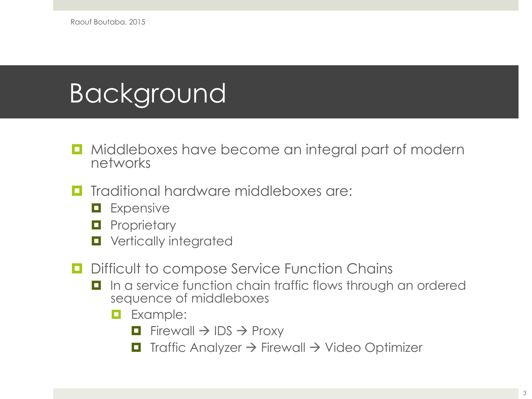#### Background

- Middleboxes have become an integral part of modern networks
- ¤ Traditional hardware middleboxes are:
	- **E** Expensive
	- $\blacksquare$  Proprietary
	- $\blacksquare$  Vertically integrated
- $\Box$  Difficult to compose Service Function Chains
	- In a service function chain traffic flows through an ordered sequence of middleboxes
		- $\blacksquare$  Example:
			- $\Box$  Firewall  $\rightarrow$  IDS  $\rightarrow$  Proxy
			- $\Box$  Traffic Analyzer  $\rightarrow$  Firewall  $\rightarrow$  Video Optimizer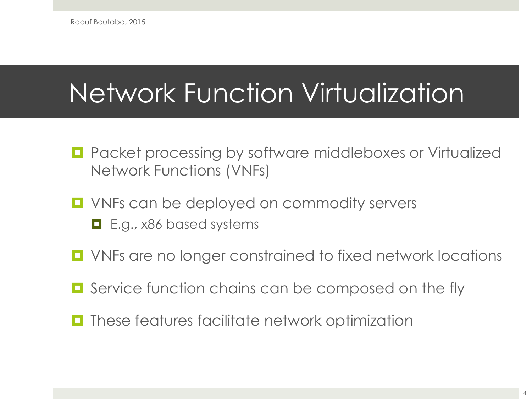## Network Function Virtualization

- Packet processing by software middleboxes or Virtualized Network Functions (VNFs)
- VNFs can be deployed on commodity servers  $\blacksquare$  E.g., x86 based systems
- VNFs are no longer constrained to fixed network locations
- Service function chains can be composed on the fly
- $\blacksquare$  These features facilitate network optimization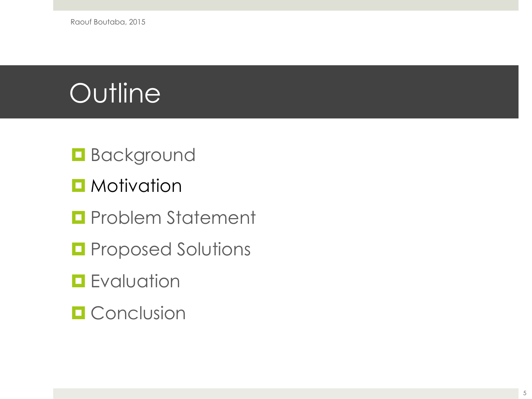Raouf Boutaba, 2015

- **Background**
- $\blacksquare$  Motivation
- **<u></u>** Problem Statement
- **<u></u>** Proposed Solutions
- **<u><b>**</u> Evaluation
- **¤ Conclusion**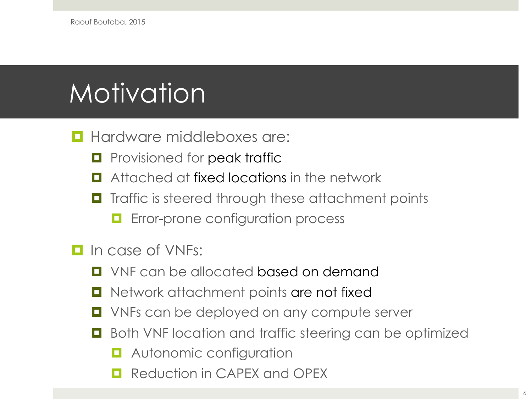# Motivation

#### $\blacksquare$  Hardware middleboxes are:

- $\blacksquare$  Provisioned for peak traffic
- Attached at fixed locations in the network
- Traffic is steered through these attachment points
	- **<u><b>E**</u> Error-prone configuration process
- $\Box$  In case of VNFs:
	- $\blacksquare$  VNF can be allocated based on demand
	- Network attachment points are not fixed
	- VNFs can be deployed on any compute server
	- Both VNF location and traffic steering can be optimized
		- **<u><b>E**</u> Autonomic configuration
		- Reduction in CAPEX and OPEX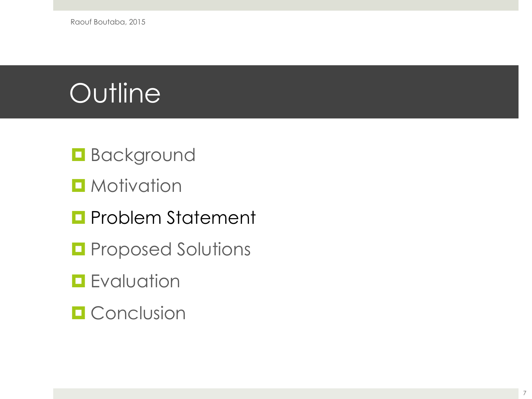Raouf Boutaba, 2015

- **Background**
- $\blacksquare$  Motivation
- **<u></u>** Problem Statement
- **<u></u>** Proposed Solutions
- **<u><b>**</u> Evaluation
- **¤** Conclusion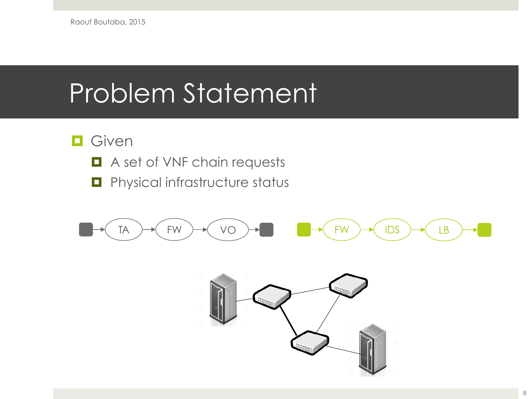#### Problem Statement

#### $\Box$  Given

- $\blacksquare$  A set of VNF chain requests
- $\blacksquare$  Physical infrastructure status



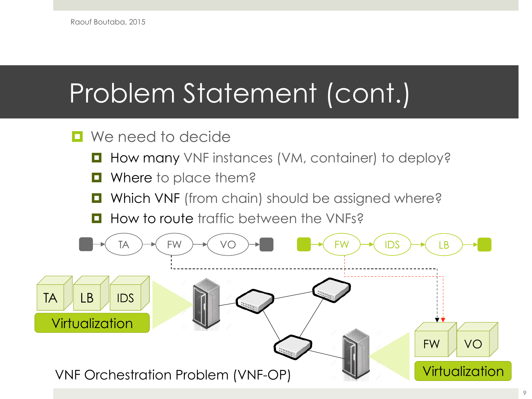## Problem Statement (cont.)

#### $\blacksquare$  We need to decide

- How many VNF instances (VM, container) to deploy?
- $\blacksquare$  Where to place them?
- Which VNF (from chain) should be assigned where?
- How to route traffic between the VNFs?

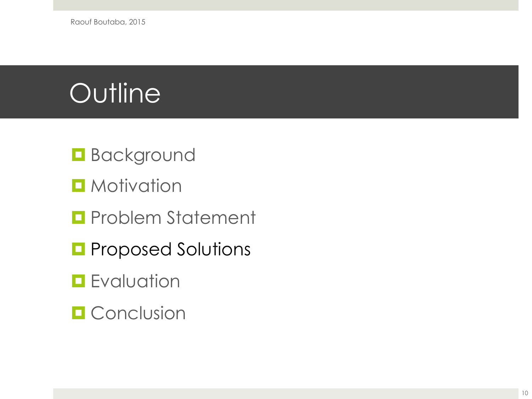- **Background**
- $\blacksquare$  Motivation
- $\blacksquare$  Problem Statement
- **<u></u>** Proposed Solutions
- **<u><b>**</u> Evaluation
- **¤ Conclusion**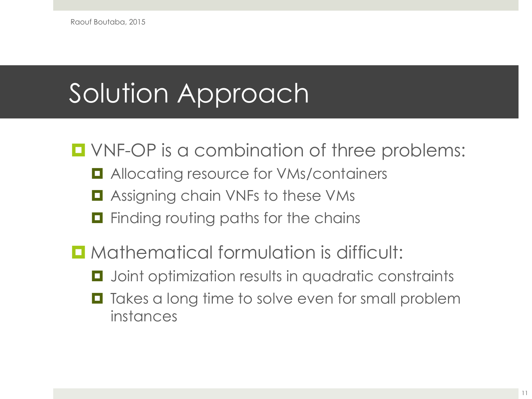Raouf Boutaba, 2015

### Solution Approach

 $\blacksquare$  VNF-OP is a combination of three problems:

- **□** Allocating resource for VMs/containers
- Assigning chain VNFs to these VMs
- $\blacksquare$  Finding routing paths for the chains
- **<u><b>u**</u> Mathematical formulation is difficult:
	- $\blacksquare$  Joint optimization results in quadratic constraints
	- Takes a long time to solve even for small problem instances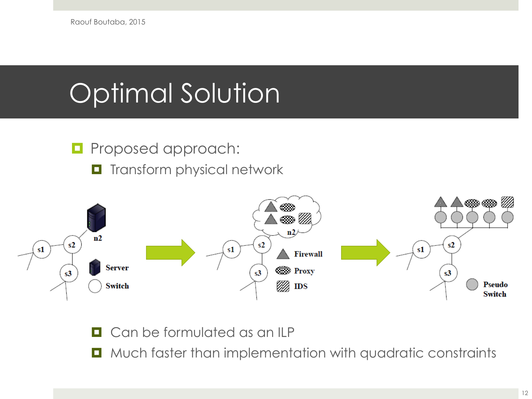## Optimal Solution

- $\blacksquare$  Proposed approach:
	- $\blacksquare$  Transform physical network



 $\Box$  Can be formulated as an ILP

■ Much faster than implementation with quadratic constraints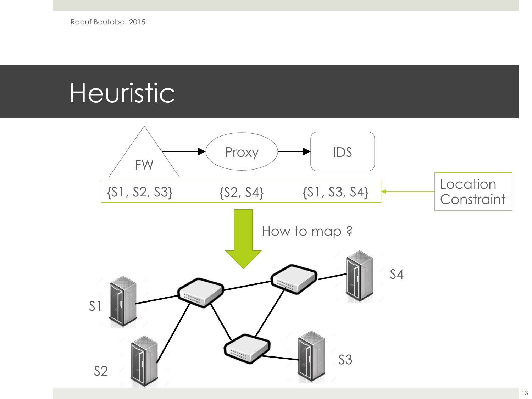### **Heuristic**

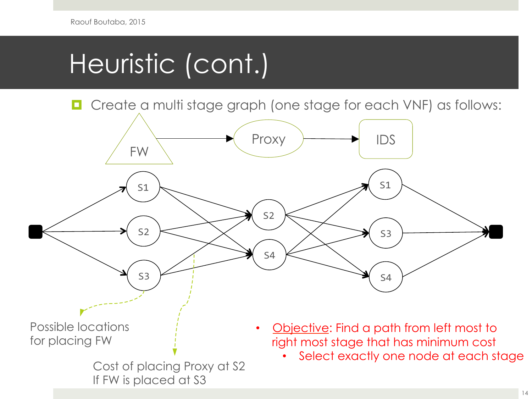## Heuristic (cont.)

■ Create a multi stage graph (one stage for each VNF) as follows:

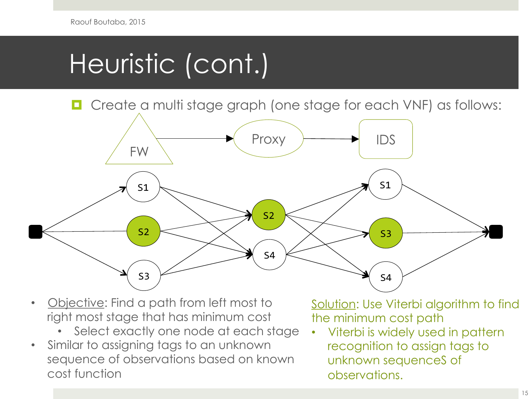## Heuristic (cont.)

Create a multi stage graph (one stage for each VNF) as follows:



- Objective: Find a path from left most to right most stage that has minimum cost
	- Select exactly one node at each stage
- Similar to assigning tags to an unknown sequence of observations based on known cost function

Solution: Use Viterbi algorithm to find the minimum cost path

• Viterbi is widely used in pattern recognition to assign tags to unknown sequenceS of observations.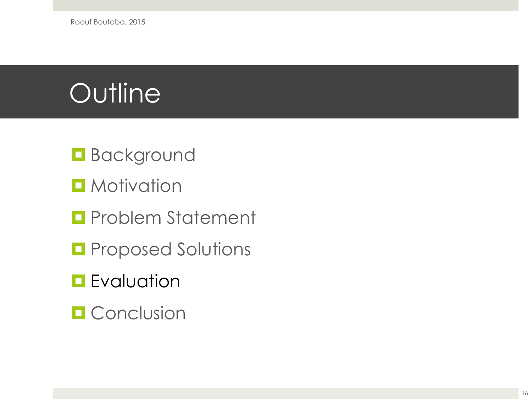- **Background**
- $\blacksquare$  Motivation
- $\blacksquare$  Problem Statement
- **<u></u>** Proposed Solutions
- **<u></u>** Evaluation
- **¤ Conclusion**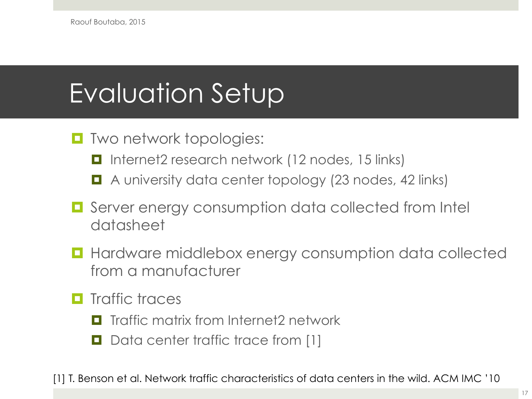## Evaluation Setup

- $\blacksquare$  Two network topologies:
	- Internet2 research network (12 nodes, 15 links)
	- A university data center topology (23 nodes, 42 links)
- Server energy consumption data collected from Intel datasheet
- Hardware middlebox energy consumption data collected from a manufacturer
- $\blacksquare$  Traffic traces
	- $\blacksquare$  Traffic matrix from Internet2 network
	- $\Box$  Data center traffic trace from [1]

[1] T. Benson et al. Network traffic characteristics of data centers in the wild. ACM IMC '10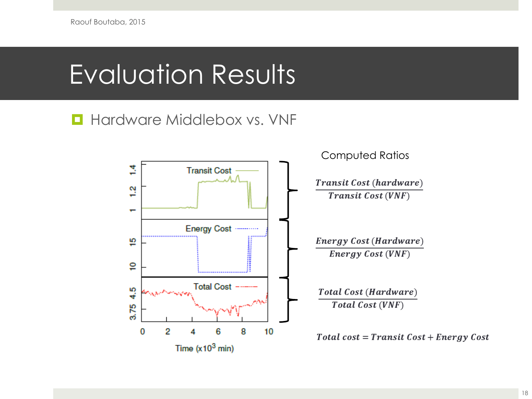### Evaluation Results

#### $\blacksquare$  Hardware Middlebox vs. VNF

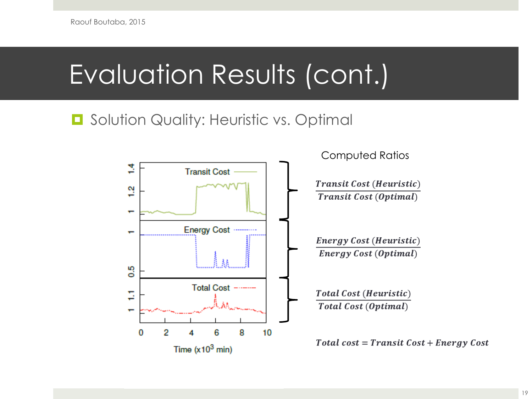### Evaluation Results (cont.)

#### $\Box$  Solution Quality: Heuristic vs. Optimal

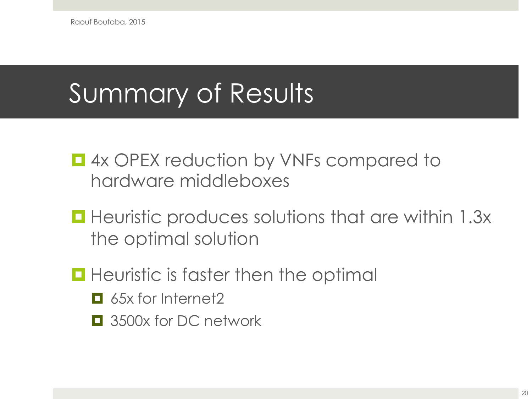### Summary of Results

- **□ 4x OPEX reduction by VNFs compared to** hardware middleboxes
- Heuristic produces solutions that are within 1.3x the optimal solution
- $\blacksquare$  Heuristic is faster then the optimal
	- 65x for Internet2
	- $\Box$  3500x for DC network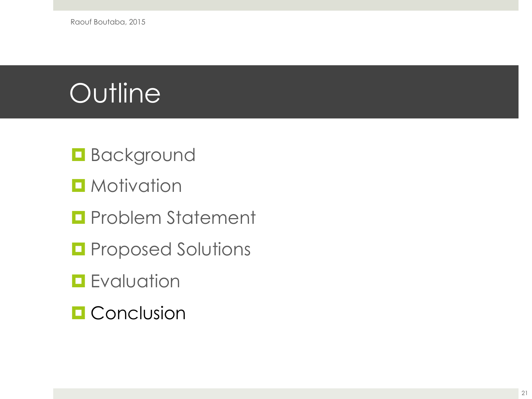- **Background**
- $\blacksquare$  Motivation
- $\blacksquare$  Problem Statement
- **<u></u>** Proposed Solutions
- **<u></u>** Evaluation
- **<u></u>** Conclusion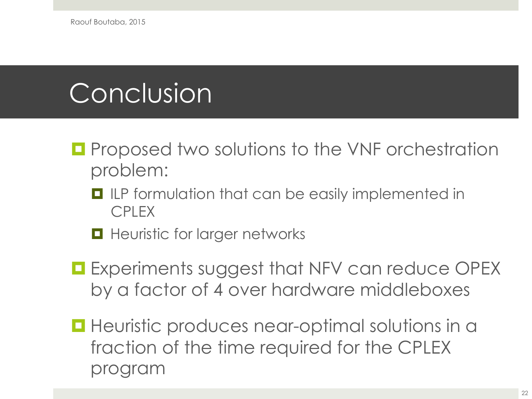## Conclusion

- **<u><b>u**</u> Proposed two solutions to the VNF orchestration problem:
	- $\blacksquare$  ILP formulation that can be easily implemented in CPLEX
	- $\blacksquare$  Heuristic for larger networks
- **E** Experiments suggest that NFV can reduce OPEX by a factor of 4 over hardware middleboxes
- $\blacksquare$  Heuristic produces near-optimal solutions in a fraction of the time required for the CPLEX program